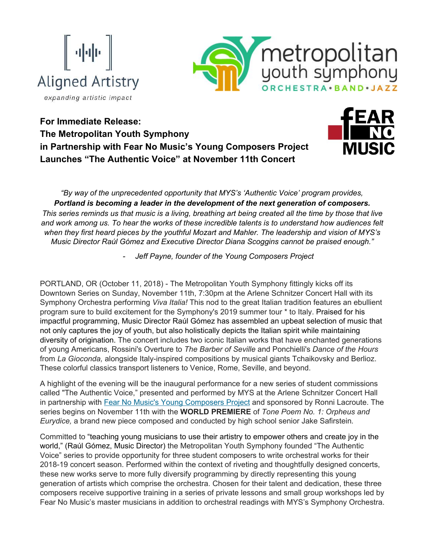



**For Immediate Release: The Metropolitan Youth Symphony in Partnership with Fear No Music's Young Composers Project Launches "The Authentic Voice" at November 11th Concert**



*"By way of the unprecedented opportunity that MYS's 'Authentic Voice' program provides, Portland is becoming a leader in the development of the next generation of composers. This series reminds us that music is a living, breathing art being created all the time by those that live and work among us. To hear the works of these incredible talents is to understand how audiences felt when they first heard pieces by the youthful Mozart and Mahler. The leadership and vision of MYS's Music Director Raúl Gómez and Executive Director Diana Scoggins cannot be praised enough."*

*- Jeff Payne, founder of the Young Composers Project* 

PORTLAND, OR (October 11, 2018) - The Metropolitan Youth Symphony fittingly kicks off its Downtown Series on Sunday, November 11th, 7:30pm at the Arlene Schnitzer Concert Hall with its Symphony Orchestra performing *Viva Italia!* This nod to the great Italian tradition features an ebullient program sure to build excitement for the Symphony's 2019 summer tour \* to Italy. Praised for his impactful programming, Music Director Raúl Gómez has assembled an upbeat selection of music that not only captures the joy of youth, but also holistically depicts the Italian spirit while maintaining diversity of origination. The concert includes two iconic Italian works that have enchanted generations of young Americans, Rossini's Overture to *The Barber of Seville* and Ponchielli's *Dance of the Hours* from *La Gioconda,* alongside Italy-inspired compositions by musical giants Tchaikovsky and Berlioz. These colorful classics transport listeners to Venice, Rome, Seville, and beyond.

A highlight of the evening will be the inaugural performance for a new series of student commissions called "The Authentic Voice," presented and performed by MYS at the Arlene Schnitzer Concert Hall in partnership with [Fear No Music's Young Composers Project](https://t.e2ma.net/click/pu204/tle7r0/d5ahzg) and sponsored by Ronni Lacroute. The series begins on November 11th with the **WORLD PREMIERE** of *Tone Poem No. 1: Orpheus and Eurydice,* a brand new piece composed and conducted by high school senior Jake Safirstein*.*

Committed to "teaching young musicians to use their artistry to empower others and create joy in the world," (Raúl Gómez, Music Director) the Metropolitan Youth Symphony founded "The Authentic Voice" series to provide opportunity for three student composers to write orchestral works for their 2018-19 concert season. Performed within the context of riveting and thoughtfully designed concerts, these new works serve to more fully diversify programming by directly representing this young generation of artists which comprise the orchestra. Chosen for their talent and dedication, these three composers receive supportive training in a series of private lessons and small group workshops led by Fear No Music's master musicians in addition to orchestral readings with MYS's Symphony Orchestra.